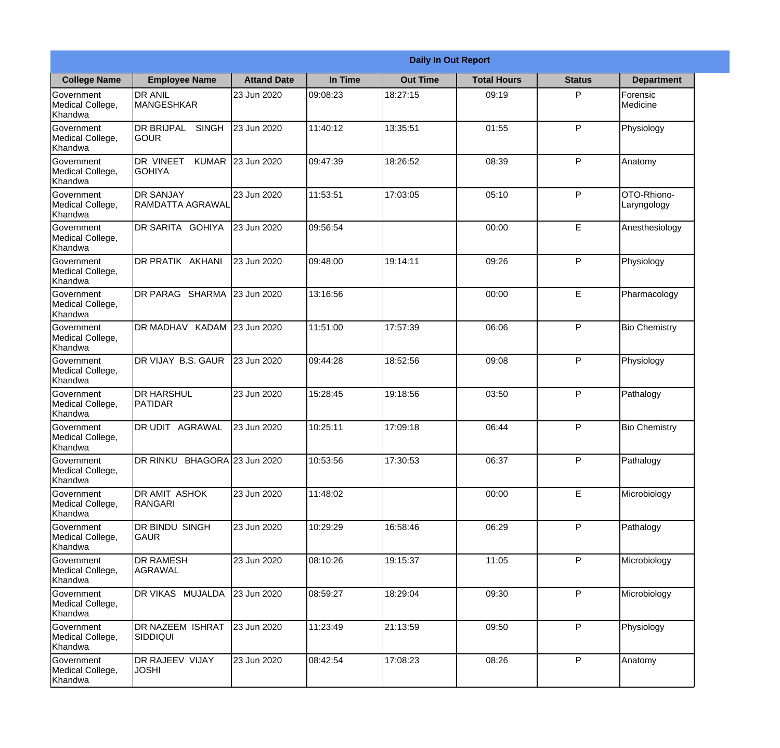|                                                  |                                                     |                    |          | <b>Daily In Out Report</b> |                    |               |                            |
|--------------------------------------------------|-----------------------------------------------------|--------------------|----------|----------------------------|--------------------|---------------|----------------------------|
| <b>College Name</b>                              | <b>Employee Name</b>                                | <b>Attand Date</b> | In Time  | <b>Out Time</b>            | <b>Total Hours</b> | <b>Status</b> | <b>Department</b>          |
| Government<br>Medical College,<br>Khandwa        | <b>DR ANIL</b><br><b>MANGESHKAR</b>                 | 23 Jun 2020        | 09:08:23 | 18:27:15                   | 09:19              | P             | Forensic<br>Medicine       |
| Government<br>Medical College,<br>Khandwa        | <b>DR BRIJPAL</b><br><b>SINGH</b><br> GOUR          | 23 Jun 2020        | 11:40:12 | 13:35:51                   | 01:55              | P             | Physiology                 |
| <b>Government</b><br>Medical College,<br>Khandwa | <b>DR VINEET</b><br><b>KUMAR</b><br><b>I</b> GOHIYA | 23 Jun 2020        | 09:47:39 | 18:26:52                   | 08:39              | P             | Anatomy                    |
| Government<br>Medical College,<br>Khandwa        | <b>DR SANJAY</b><br><b>RAMDATTA AGRAWAL</b>         | 23 Jun 2020        | 11:53:51 | 17:03:05                   | 05:10              | P             | OTO-Rhiono-<br>Laryngology |
| Government<br>Medical College,<br>Khandwa        | <b>IDR SARITA GOHIYA</b>                            | 23 Jun 2020        | 09:56:54 |                            | 00:00              | E             | Anesthesiology             |
| Government<br>Medical College,<br>Khandwa        | DR PRATIK AKHANI                                    | 23 Jun 2020        | 09:48:00 | 19:14:11                   | 09:26              | P             | Physiology                 |
| <b>Government</b><br>Medical College,<br>Khandwa | DR PARAG SHARMA                                     | 23 Jun 2020        | 13:16:56 |                            | 00:00              | E             | Pharmacology               |
| <b>Government</b><br>Medical College,<br>Khandwa | DR MADHAV KADAM 23 Jun 2020                         |                    | 11:51:00 | 17:57:39                   | 06:06              | P             | <b>Bio Chemistry</b>       |
| Government<br>Medical College,<br>Khandwa        | DR VIJAY B.S. GAUR                                  | 23 Jun 2020        | 09:44:28 | 18:52:56                   | 09:08              | P             | Physiology                 |
| Government<br>Medical College,<br>Khandwa        | <b>DR HARSHUL</b><br>PATIDAR                        | 23 Jun 2020        | 15:28:45 | 19:18:56                   | 03:50              | P             | Pathalogy                  |
| Government<br>Medical College,<br>Khandwa        | DR UDIT<br><b>AGRAWAL</b>                           | 23 Jun 2020        | 10:25:11 | 17:09:18                   | 06:44              | $\mathsf{P}$  | <b>Bio Chemistry</b>       |
| Government<br>Medical College,<br>Khandwa        | DR RINKU BHAGORA 23 Jun 2020                        |                    | 10:53:56 | 17:30:53                   | 06:37              | P             | Pathalogy                  |
| Government<br>Medical College,<br>Khandwa        | DR AMIT ASHOK<br>RANGARI                            | 23 Jun 2020        | 11:48:02 |                            | 00:00              | E             | Microbiology               |
| Government<br>Medical College,<br>Khandwa        | DR BINDU SINGH<br> GAUR                             | 23 Jun 2020        | 10:29:29 | 16:58:46                   | 06:29              | P             | Pathalogy                  |
| Government<br>Medical College,<br>Khandwa        | <b>DR RAMESH</b><br>AGRAWAL                         | 23 Jun 2020        | 08:10:26 | 19:15:37                   | 11:05              | P             | Microbiology               |
| Government<br>Medical College,<br>Khandwa        | DR VIKAS MUJALDA                                    | 23 Jun 2020        | 08:59:27 | 18:29:04                   | 09:30              | P             | Microbiology               |
| Government<br>Medical College,<br>Khandwa        | <b>DR NAZEEM ISHRAT</b><br><b>SIDDIQUI</b>          | 23 Jun 2020        | 11:23:49 | 21:13:59                   | 09:50              | P             | Physiology                 |
| Government<br>Medical College,<br>Khandwa        | DR RAJEEV VIJAY<br><b>JOSHI</b>                     | 23 Jun 2020        | 08:42:54 | 17:08:23                   | 08:26              | P             | Anatomy                    |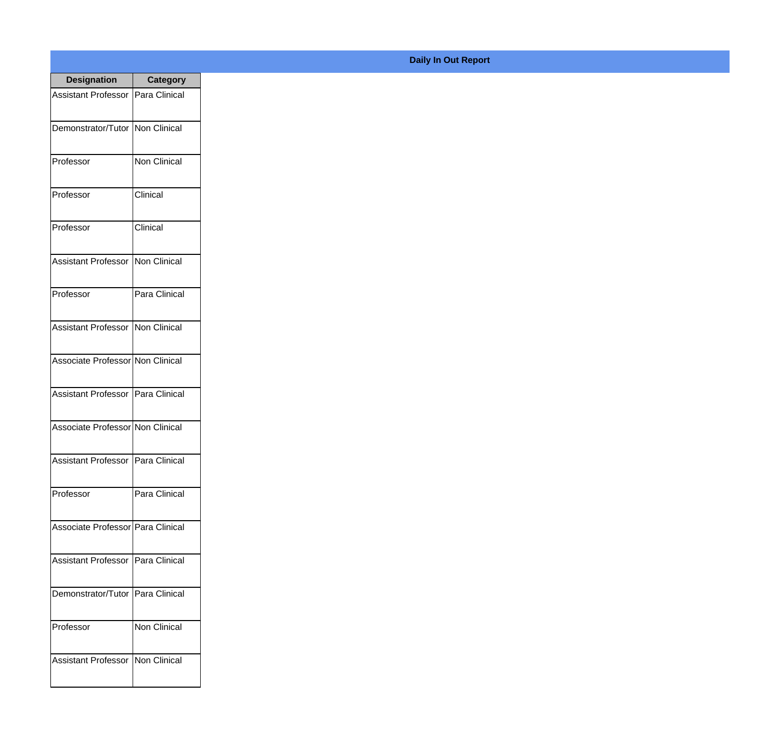| <b>Designation</b>                  | <b>Category</b> |
|-------------------------------------|-----------------|
| <b>Assistant Professor</b>          | Para Clinical   |
| Demonstrator/Tutor                  | Non Clinical    |
| Professor                           | Non Clinical    |
| Professor                           | Clinical        |
| Professor                           | Clinical        |
| <b>Assistant Professor</b>          | Non Clinical    |
| Professor                           | Para Clinical   |
| <b>Assistant Professor</b>          | Non Clinical    |
| Associate Professor Non Clinical    |                 |
| <b>Assistant Professor</b>          | Para Clinical   |
| Associate Professor Non Clinical    |                 |
| Assistant Professor   Para Clinical |                 |
| Professor                           | Para Clinical   |
| Associate Professor   Para Clinical |                 |
| Assistant Professor                 | Para Clinical   |
| Demonstrator/Tutor   Para Clinical  |                 |
| Professor                           | Non Clinical    |
| <b>Assistant Professor</b>          | Non Clinical    |

**Daily In Out Report**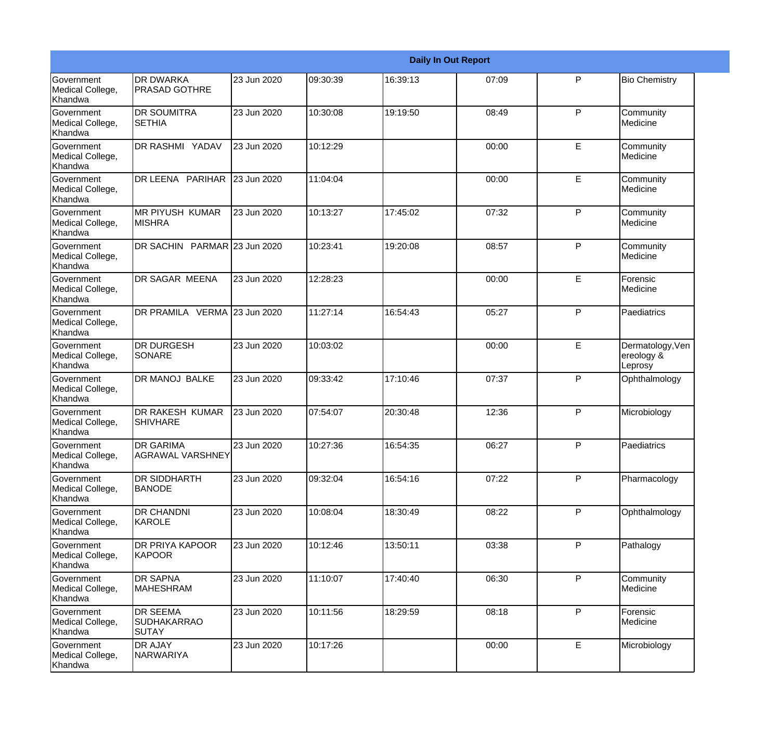|                                                  |                                                       |             |           |          | <b>Daily In Out Report</b> |   |                                           |
|--------------------------------------------------|-------------------------------------------------------|-------------|-----------|----------|----------------------------|---|-------------------------------------------|
| Government<br>Medical College,<br>Khandwa        | <b>DR DWARKA</b><br><b>PRASAD GOTHRE</b>              | 23 Jun 2020 | 109:30:39 | 16:39:13 | 07:09                      | P | <b>Bio Chemistry</b>                      |
| <b>Government</b><br>Medical College,<br>Khandwa | <b>DR SOUMITRA</b><br>ISETHIA                         | 23 Jun 2020 | 10:30:08  | 19:19:50 | 08:49                      | P | Community<br>Medicine                     |
| <b>Government</b><br>Medical College,<br>Khandwa | DR RASHMI YADAV                                       | 23 Jun 2020 | 10:12:29  |          | 00:00                      | E | Community<br>Medicine                     |
| <b>Government</b><br>Medical College,<br>Khandwa | DR LEENA PARIHAR                                      | 23 Jun 2020 | 11:04:04  |          | 00:00                      | E | Community<br>Medicine                     |
| <b>Government</b><br>Medical College,<br>Khandwa | IMR PIYUSH KUMAR<br><b>MISHRA</b>                     | 23 Jun 2020 | 10:13:27  | 17:45:02 | 07:32                      | P | Community<br>Medicine                     |
| <b>Government</b><br>Medical College,<br>Khandwa | DR SACHIN PARMAR 23 Jun 2020                          |             | 10:23:41  | 19:20:08 | 08:57                      | P | Community<br><b>I</b> Medicine            |
| Government<br>Medical College,<br>Khandwa        | <b>DR SAGAR MEENA</b>                                 | 23 Jun 2020 | 12:28:23  |          | 00:00                      | E | Forensic<br>Medicine                      |
| Government<br>Medical College,<br>Khandwa        | DR PRAMILA VERMA 23 Jun 2020                          |             | 11:27:14  | 16:54:43 | 05:27                      | P | Paediatrics                               |
| Government<br>Medical College,<br>Khandwa        | <b>DR DURGESH</b><br>SONARE                           | 23 Jun 2020 | 10:03:02  |          | 00:00                      | E | Dermatology, Ven<br>ereology &<br>Leprosy |
| <b>Government</b><br>Medical College,<br>Khandwa | <b>DR MANOJ BALKE</b>                                 | 23 Jun 2020 | 09:33:42  | 17:10:46 | 07:37                      | P | Ophthalmology                             |
| <b>Government</b><br>Medical College,<br>Khandwa | DR RAKESH KUMAR<br><b>SHIVHARE</b>                    | 23 Jun 2020 | 07:54:07  | 20:30:48 | 12:36                      | P | Microbiology                              |
| Government<br>Medical College,<br>Khandwa        | <b>DR GARIMA</b><br>AGRAWAL VARSHNEY                  | 23 Jun 2020 | 10:27:36  | 16:54:35 | 06:27                      | P | Paediatrics                               |
| Government<br>Medical College,<br>Khandwa        | DR SIDDHARTH<br><b>BANODE</b>                         | 23 Jun 2020 | 09:32:04  | 16:54:16 | 07:22                      | P | Pharmacology                              |
| <b>Government</b><br>Medical College,<br>Khandwa | <b>DR CHANDNI</b><br>KAROLE                           | 23 Jun 2020 | 10:08:04  | 18:30:49 | 08:22                      | P | Ophthalmology                             |
| Government<br>Medical College,<br>Khandwa        | <b>DR PRIYA KAPOOR</b><br>KAPOOR                      | 23 Jun 2020 | 10:12:46  | 13:50:11 | 03:38                      | P | Pathalogy                                 |
| Government<br>Medical College,<br>Khandwa        | <b>DR SAPNA</b><br><b>MAHESHRAM</b>                   | 23 Jun 2020 | 11:10:07  | 17:40:40 | 06:30                      | P | Community<br>Medicine                     |
| Government<br>Medical College,<br>Khandwa        | <b>DR SEEMA</b><br><b>SUDHAKARRAO</b><br><b>SUTAY</b> | 23 Jun 2020 | 10:11:56  | 18:29:59 | 08:18                      | P | Forensic<br>Medicine                      |
| Government<br>Medical College,<br>Khandwa        | DR AJAY<br><b>NARWARIYA</b>                           | 23 Jun 2020 | 10:17:26  |          | 00:00                      | E | Microbiology                              |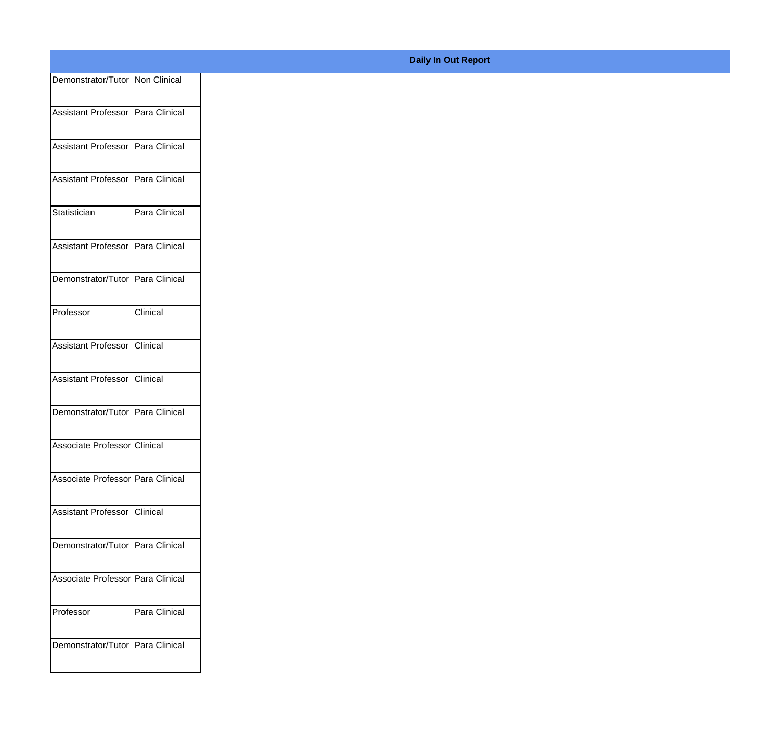| Demonstrator/Tutor   Non Clinical   |               |
|-------------------------------------|---------------|
|                                     |               |
| Assistant Professor   Para Clinical |               |
| Assistant Professor   Para Clinical |               |
|                                     |               |
| Assistant Professor   Para Clinical |               |
| Statistician                        | Para Clinical |
|                                     |               |
| Assistant Professor   Para Clinical |               |
| Demonstrator/Tutor Para Clinical    |               |
|                                     |               |
| Professor                           | Clinical      |
| Assistant Professor Clinical        |               |
|                                     |               |
| Assistant Professor Clinical        |               |
| Demonstrator/Tutor   Para Clinical  |               |
| Associate Professor Clinical        |               |
|                                     |               |
| Associate Professor   Para Clinical |               |
| Assistant Professor   Clinical      |               |
|                                     |               |
| Demonstrator/Tutor   Para Clinical  |               |
|                                     |               |
| Associate Professor Para Clinical   |               |
| Professor                           | Para Clinical |
|                                     |               |
| Demonstrator/Tutor   Para Clinical  |               |
|                                     |               |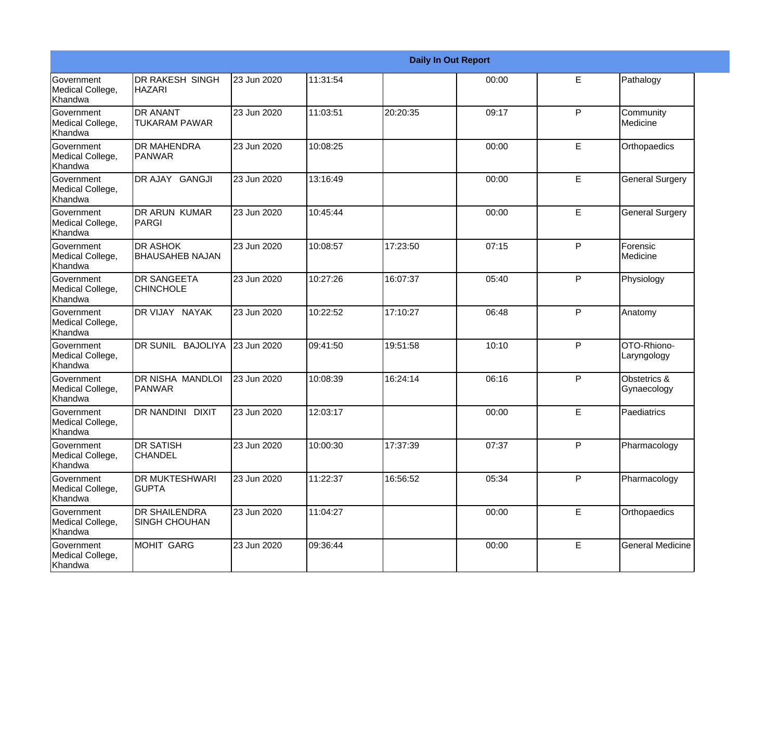|                                                  |                                              |             |          |          | <b>Daily In Out Report</b> |              |                             |
|--------------------------------------------------|----------------------------------------------|-------------|----------|----------|----------------------------|--------------|-----------------------------|
| Government<br>Medical College,<br>Khandwa        | <b>DR RAKESH SINGH</b><br><b>HAZARI</b>      | 23 Jun 2020 | 11:31:54 |          | 00:00                      | E            | Pathalogy                   |
| <b>Government</b><br>Medical College,<br>Khandwa | IDR ANANT<br><b>TUKARAM PAWAR</b>            | 23 Jun 2020 | 11:03:51 | 20:20:35 | 09:17                      | P            | Community<br>Medicine       |
| <b>Government</b><br>Medical College,<br>Khandwa | <b>DR MAHENDRA</b><br><b>IPANWAR</b>         | 23 Jun 2020 | 10:08:25 |          | 00:00                      | E            | Orthopaedics                |
| <b>Government</b><br>Medical College,<br>Khandwa | DR AJAY GANGJI                               | 23 Jun 2020 | 13:16:49 |          | 00:00                      | E            | <b>General Surgery</b>      |
| Government<br>Medical College,<br>Khandwa        | <b>DR ARUN KUMAR</b><br>PARGI                | 23 Jun 2020 | 10:45:44 |          | 00:00                      | E            | <b>General Surgery</b>      |
| <b>Government</b><br>Medical College,<br>Khandwa | <b>IDR ASHOK</b><br><b>BHAUSAHEB NAJAN</b>   | 23 Jun 2020 | 10:08:57 | 17:23:50 | 07:15                      | P            | Forensic<br>Medicine        |
| Government<br>Medical College,<br>Khandwa        | <b>DR SANGEETA</b><br><b>CHINCHOLE</b>       | 23 Jun 2020 | 10:27:26 | 16:07:37 | 05:40                      | P            | Physiology                  |
| Government<br>Medical College,<br>Khandwa        | DR VIJAY NAYAK                               | 23 Jun 2020 | 10:22:52 | 17:10:27 | 06:48                      | P            | Anatomy                     |
| Government<br>Medical College,<br>Khandwa        | DR SUNIL BAJOLIYA                            | 23 Jun 2020 | 09:41:50 | 19:51:58 | 10:10                      | P            | OTO-Rhiono-<br>Laryngology  |
| <b>Government</b><br>Medical College,<br>Khandwa | DR NISHA MANDLOI<br><b>PANWAR</b>            | 23 Jun 2020 | 10:08:39 | 16:24:14 | 06:16                      | P            | Obstetrics &<br>Gynaecology |
| <b>Government</b><br>Medical College,<br>Khandwa | <b>DR NANDINI</b><br><b>DIXIT</b>            | 23 Jun 2020 | 12:03:17 |          | 00:00                      | E            | Paediatrics                 |
| Government<br>Medical College,<br>Khandwa        | <b>DR SATISH</b><br><b>CHANDEL</b>           | 23 Jun 2020 | 10:00:30 | 17:37:39 | 07:37                      | P            | Pharmacology                |
| Government<br>Medical College,<br>Khandwa        | <b>DR MUKTESHWARI</b><br><b>GUPTA</b>        | 23 Jun 2020 | 11:22:37 | 16:56:52 | 05:34                      | $\mathsf{P}$ | Pharmacology                |
| Government<br>Medical College,<br>Khandwa        | <b>DR SHAILENDRA</b><br><b>SINGH CHOUHAN</b> | 23 Jun 2020 | 11:04:27 |          | 00:00                      | $\mathsf E$  | Orthopaedics                |
| Government<br>Medical College,<br>Khandwa        | MOHIT GARG                                   | 23 Jun 2020 | 09:36:44 |          | 00:00                      | $\mathsf E$  | <b>General Medicine</b>     |